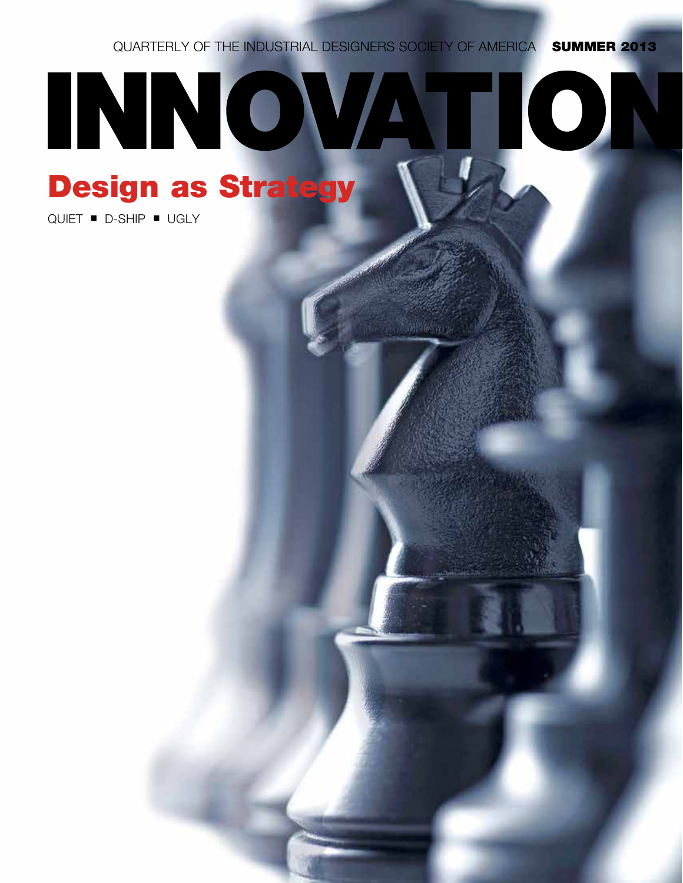QUARTERLY OF THE INDUSTRIAL DESIGNERS SOCIETY OF AMERICA **SUMMER 2013** 

# INNOVATION Design as Strategy

 $QUIET$   $\blacksquare$   $D-SHIP$   $\blacksquare$   $UGLY$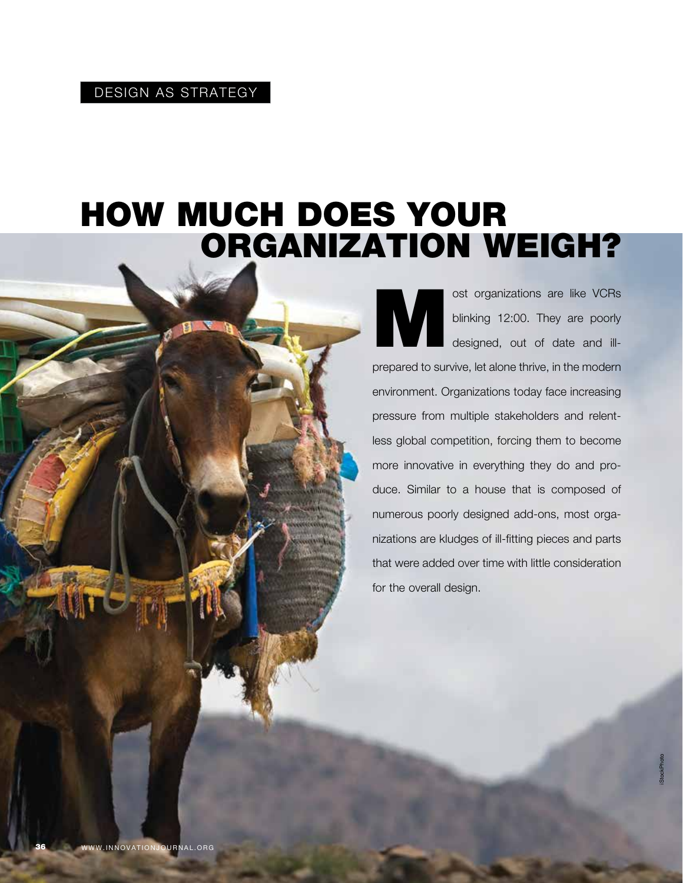# How Much Does Your Organization Weigh?

ost organizations are like VCRs<br>blinking 12:00. They are poorly<br>designed, out of date and illblinking 12:00. They are poorly designed, out of date and illprepared to survive, let alone thrive, in the modern environment. Organizations today face increasing pressure from multiple stakeholders and relentless global competition, forcing them to become more innovative in everything they do and produce. Similar to a house that is composed of numerous poorly designed add-ons, most organizations are kludges of ill-fitting pieces and parts that were added over time with little consideration for the overall design.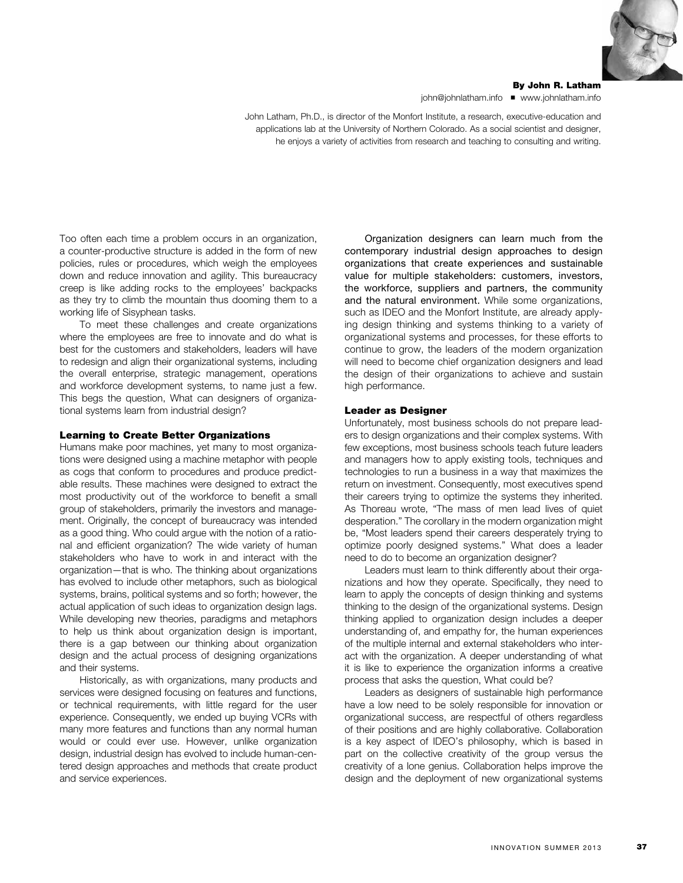

By John R. Latham john@johnlatham.info ■ www.johnlatham.info

John Latham, Ph.D., is director of the Monfort Institute, a research, executive-education and applications lab at the University of Northern Colorado. As a social scientist and designer, he enjoys a variety of activities from research and teaching to consulting and writing.

Too often each time a problem occurs in an organization, a counter-productive structure is added in the form of new policies, rules or procedures, which weigh the employees down and reduce innovation and agility. This bureaucracy creep is like adding rocks to the employees' backpacks as they try to climb the mountain thus dooming them to a working life of Sisyphean tasks.

To meet these challenges and create organizations where the employees are free to innovate and do what is best for the customers and stakeholders, leaders will have to redesign and align their organizational systems, including the overall enterprise, strategic management, operations and workforce development systems, to name just a few. This begs the question, What can designers of organizational systems learn from industrial design?

#### Learning to Create Better Organizations

Humans make poor machines, yet many to most organizations were designed using a machine metaphor with people as cogs that conform to procedures and produce predictable results. These machines were designed to extract the most productivity out of the workforce to benefit a small group of stakeholders, primarily the investors and management. Originally, the concept of bureaucracy was intended as a good thing. Who could argue with the notion of a rational and efficient organization? The wide variety of human stakeholders who have to work in and interact with the organization—that is who. The thinking about organizations has evolved to include other metaphors, such as biological systems, brains, political systems and so forth; however, the actual application of such ideas to organization design lags. While developing new theories, paradigms and metaphors to help us think about organization design is important, there is a gap between our thinking about organization design and the actual process of designing organizations and their systems.

Historically, as with organizations, many products and services were designed focusing on features and functions, or technical requirements, with little regard for the user experience. Consequently, we ended up buying VCRs with many more features and functions than any normal human would or could ever use. However, unlike organization design, industrial design has evolved to include human-centered design approaches and methods that create product and service experiences.

Organization designers can learn much from the contemporary industrial design approaches to design organizations that create experiences and sustainable value for multiple stakeholders: customers, investors, the workforce, suppliers and partners, the community and the natural environment. While some organizations, such as IDEO and the Monfort Institute, are already applying design thinking and systems thinking to a variety of organizational systems and processes, for these efforts to continue to grow, the leaders of the modern organization will need to become chief organization designers and lead the design of their organizations to achieve and sustain high performance.

#### Leader as Designer

Unfortunately, most business schools do not prepare leaders to design organizations and their complex systems. With few exceptions, most business schools teach future leaders and managers how to apply existing tools, techniques and technologies to run a business in a way that maximizes the return on investment. Consequently, most executives spend their careers trying to optimize the systems they inherited. As Thoreau wrote, "The mass of men lead lives of quiet desperation." The corollary in the modern organization might be, "Most leaders spend their careers desperately trying to optimize poorly designed systems." What does a leader need to do to become an organization designer?

Leaders must learn to think differently about their organizations and how they operate. Specifically, they need to learn to apply the concepts of design thinking and systems thinking to the design of the organizational systems. Design thinking applied to organization design includes a deeper understanding of, and empathy for, the human experiences of the multiple internal and external stakeholders who interact with the organization. A deeper understanding of what it is like to experience the organization informs a creative process that asks the question, What could be?

Leaders as designers of sustainable high performance have a low need to be solely responsible for innovation or organizational success, are respectful of others regardless of their positions and are highly collaborative. Collaboration is a key aspect of IDEO's philosophy, which is based in part on the collective creativity of the group versus the creativity of a lone genius. Collaboration helps improve the design and the deployment of new organizational systems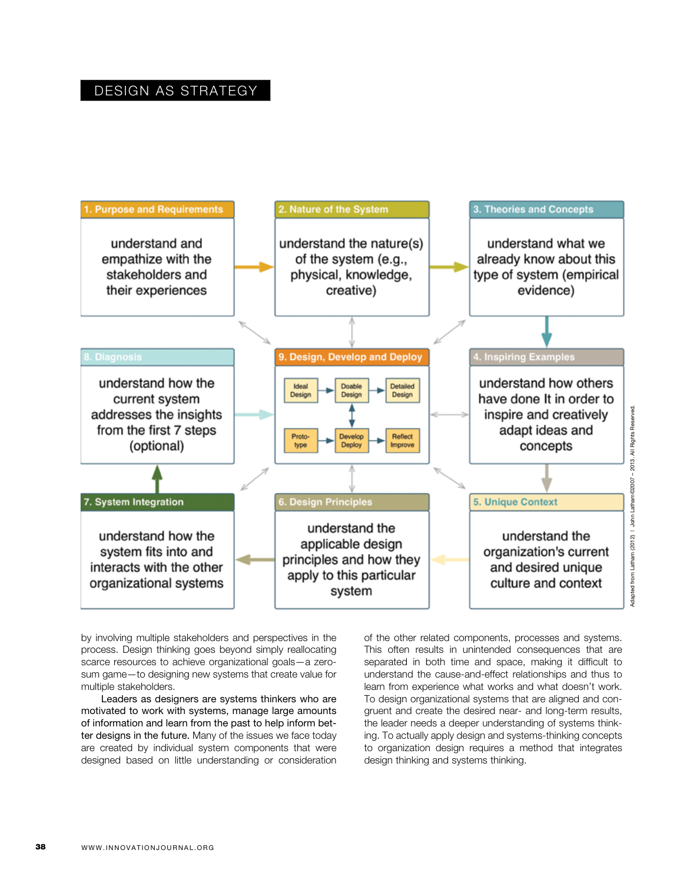### DESIGN AS STRATEGY



by involving multiple stakeholders and perspectives in the process. Design thinking goes beyond simply reallocating scarce resources to achieve organizational goals—a zerosum game—to designing new systems that create value for multiple stakeholders.

Leaders as designers are systems thinkers who are motivated to work with systems, manage large amounts of information and learn from the past to help inform better designs in the future. Many of the issues we face today are created by individual system components that were designed based on little understanding or consideration of the other related components, processes and systems. This often results in unintended consequences that are separated in both time and space, making it difficult to understand the cause-and-effect relationships and thus to learn from experience what works and what doesn't work. To design organizational systems that are aligned and congruent and create the desired near- and long-term results, the leader needs a deeper understanding of systems thinking. To actually apply design and systems-thinking concepts to organization design requires a method that integrates design thinking and systems thinking.